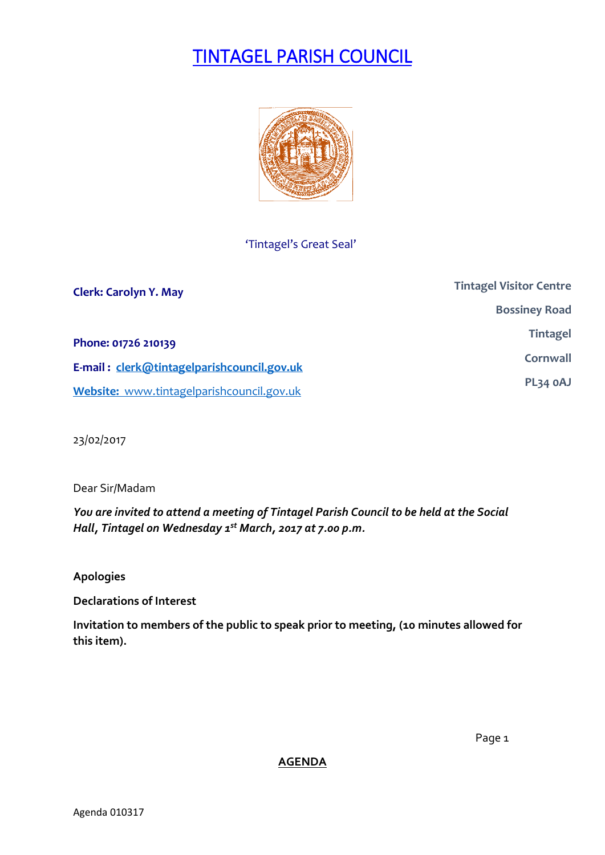# TINTAGEL PARISH COUNCIL



## 'Tintagel's Great Seal'

| <b>Clerk: Carolyn Y. May</b>               | <b>Tintagel Visitor Centre</b> |
|--------------------------------------------|--------------------------------|
|                                            | <b>Bossiney Road</b>           |
| Phone: 01726 210139                        | <b>Tintagel</b>                |
| E-mail: clerk@tintagelparishcouncil.gov.uk | Cornwall                       |
| Website: www.tintagelparishcouncil.gov.uk  | PL34 OAJ                       |

23/02/2017

Dear Sir/Madam

*You are invited to attend a meeting of Tintagel Parish Council to be held at the Social Hall, Tintagel on Wednesday 1 st March, 2017 at 7.00 p.m.* 

**Apologies**

**Declarations of Interest**

**Invitation to members of the public to speak prior to meeting, (10 minutes allowed for this item).**

**AGENDA**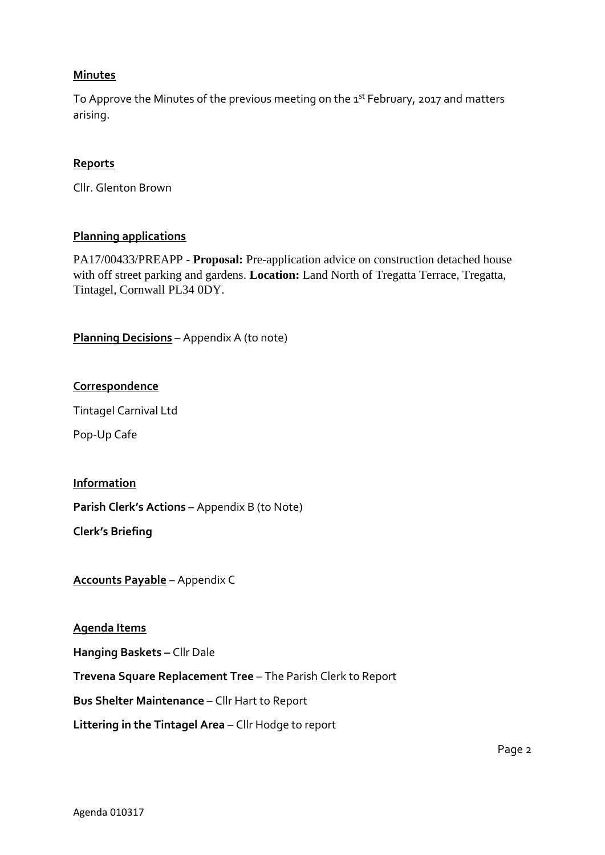#### **Minutes**

To Approve the Minutes of the previous meeting on the 1<sup>st</sup> February, 2017 and matters arising.

## **Reports**

Cllr. Glenton Brown

#### **Planning applications**

PA17/00433/PREAPP - **Proposal:** Pre-application advice on construction detached house with off street parking and gardens. **Location:** Land North of Tregatta Terrace, Tregatta, Tintagel, Cornwall PL34 0DY.

**Planning Decisions** – Appendix A (to note)

## **Correspondence**

Tintagel Carnival Ltd

Pop-Up Cafe

#### **Information**

**Parish Clerk's Actions** – Appendix B (to Note)

**Clerk's Briefing**

**Accounts Payable** – Appendix C

#### **Agenda Items**

**Hanging Baskets –** Cllr Dale

**Trevena Square Replacement Tree** – The Parish Clerk to Report

**Bus Shelter Maintenance** – Cllr Hart to Report

**Littering in the Tintagel Area** – Cllr Hodge to report